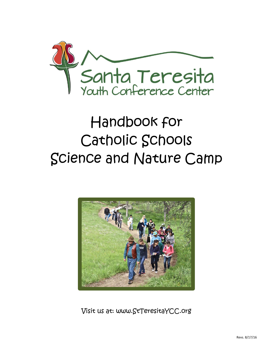

# Handbook for Catholic Schools Science and Nature Camp



Visit us at: [www.StTeresitaYCC.org](http://www.stteresitaycc.org/)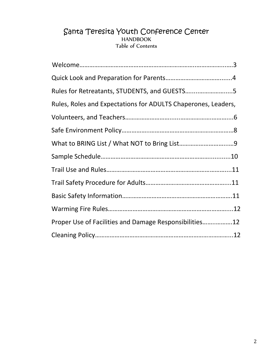### Santa Teresita Youth Conference Center HANDBOOK Table of Contents

| Rules for Retreatants, STUDENTS, and GUESTS5                  |  |
|---------------------------------------------------------------|--|
| Rules, Roles and Expectations for ADULTS Chaperones, Leaders, |  |
|                                                               |  |
|                                                               |  |
|                                                               |  |
|                                                               |  |
|                                                               |  |
|                                                               |  |
|                                                               |  |
|                                                               |  |
| Proper Use of Facilities and Damage Responsibilities12        |  |
|                                                               |  |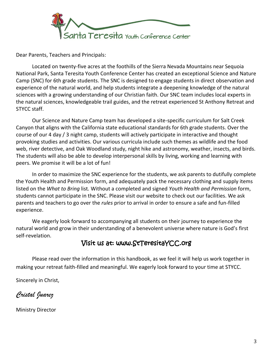

Dear Parents, Teachers and Principals:

Located on twenty-five acres at the foothills of the Sierra Nevada Mountains near Sequoia National Park, Santa Teresita Youth Conference Center has created an exceptional Science and Nature Camp (SNC) for 6th grade students. The SNC is designed to engage students in direct observation and experience of the natural world, and help students integrate a deepening knowledge of the natural sciences with a growing understanding of our Christian faith. Our SNC team includes local experts in the natural sciences, knowledgeable trail guides, and the retreat experienced St Anthony Retreat and STYCC staff.

Our Science and Nature Camp team has developed a site-specific curriculum for Salt Creek Canyon that aligns with the California state educational standards for 6th grade students. Over the course of our 4 day / 3 night camp, students will actively participate in interactive and thought provoking studies and activities. Our various curricula include such themes as wildlife and the food web, river detective, and Oak Woodland study, night hike and astronomy, weather, insects, and birds. The students will also be able to develop interpersonal skills by living, working and learning with peers. We promise it will be a lot of fun!

In order to maximize the SNC experience for the students, we ask parents to dutifully complete the Youth Health and Permission form, and adequately pack the necessary clothing and supply items listed on the *What to Bring* list*.* Without a completed and signed *Youth Health and Permission* form, students cannot participate in the SNC. Please visit our website to check out our facilities. We ask parents and teachers to go over the *rules* prior to arrival in order to ensure a safe and fun-filled experience.

We eagerly look forward to accompanying all students on their journey to experience the natural world and grow in their understanding of a benevolent universe where nature is God's first self-revelation.

### Visit us at: [www.StTeresitaYCC.org](http://www.stteresitaycc.org/)

Please read over the information in this handbook, as we feel it will help us work together in making your retreat faith-filled and meaningful. We eagerly look forward to your time at STYCC.

Sincerely in Christ,

*Cristal Juarez*

Ministry Director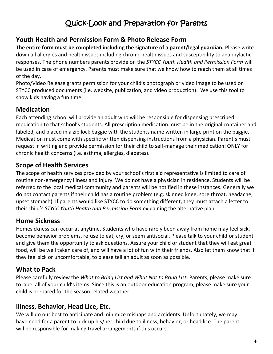# Quick-Look and Preparation for Parents

### **Youth Health and Permission Form & Photo Release Form**

**The entire form must be completed including the signature of a parent/legal guardian.** Please write down all allergies and health issues including chronic health issues and susceptibility to anaphylactic responses. The phone numbers parents provide on the *STYCC Youth Health and Permission Form* will be used in case of emergency. Parents must make sure that we know how to reach them at all times of the day.

Photo/Video Release grants permission for your child's photograph or video image to be used on STYCC produced documents (i.e. website, publication, and video production). We use this tool to show kids having a fun time.

### **Medication**

Each attending school will provide an adult who will be responsible for dispensing prescribed medication to that school's students. All prescription medication must be in the original container and labeled, and placed in a zip lock baggie with the students name written in large print on the baggie. Medication must come with specific written dispensing instructions from a physician. Parent's must request in writing and provide permission for their child to self-manage their medication: ONLY for chronic health concerns (i.e. asthma, allergies, diabetes).

## **Scope of Health Services**

The scope of health services provided by your school's first aid representative is limited to care of routine non-emergency illness and injury. We do not have a physician in residence. Students will be referred to the local medical community and parents will be notified in these instances. Generally we do not contact parents if their child has a routine problem (e.g. skinned knee, sore throat, headache, upset stomach). If parents would like STYCC to do something different, they must attach a letter to their child's *STYCC Youth Health and Permission Form* explaining the alternative plan.

## **Home Sickness**

Homesickness can occur at anytime. Students who have rarely been away from home may feel sick, become behavior problems, refuse to eat, cry, or seem antisocial. Please talk to your child or student and give them the opportunity to ask questions. Assure your child or student that they will eat great food, will be well taken care of, and will have a lot of fun with their friends. Also let them know that if they feel sick or uncomfortable, to please tell an adult as soon as possible.

## **What to Pack**

Please carefully review the *What to Bring List and What Not to Bring List*. Parents, please make sure to label all of your child's items. Since this is an outdoor education program, please make sure your child is prepared for the season related weather.

## **Illness, Behavior, Head Lice, Etc.**

We will do our best to anticipate and minimize mishaps and accidents. Unfortunately, we may have need for a parent to pick up his/her child due to illness, behavior, or head lice. The parent will be responsible for making travel arrangements if this occurs.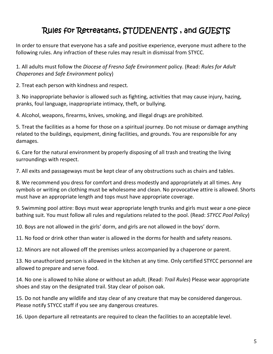# Rules for Retreatants, STUDENENTS , and GUESTS

In order to ensure that everyone has a safe and positive experience, everyone must adhere to the following rules. Any infraction of these rules may result in dismissal from STYCC.

1. All adults must follow the *Diocese of Fresno Safe Environment* policy. (Read: *Rules for Adult Chaperones* and *Safe Environment* policy)

2. Treat each person with kindness and respect.

3. No inappropriate behavior is allowed such as fighting, activities that may cause injury, hazing, pranks, foul language, inappropriate intimacy, theft, or bullying.

4. Alcohol, weapons, firearms, knives, smoking, and illegal drugs are prohibited.

5. Treat the facilities as a home for those on a spiritual journey. Do not misuse or damage anything related to the buildings, equipment, dining facilities, and grounds. You are responsible for any damages.

6. Care for the natural environment by properly disposing of all trash and treating the living surroundings with respect.

7. All exits and passageways must be kept clear of any obstructions such as chairs and tables.

8. We recommend you dress for comfort and dress modestly and appropriately at all times. Any symbols or writing on clothing must be wholesome and clean. No provocative attire is allowed. Shorts must have an appropriate length and tops must have appropriate coverage.

9. Swimming pool attire: Boys must wear appropriate length trunks and girls must wear a one-piece bathing suit. You must follow all rules and regulations related to the pool. (Read: *STYCC Pool Policy*)

10. Boys are not allowed in the girls' dorm, and girls are not allowed in the boys' dorm.

11. No food or drink other than water is allowed in the dorms for health and safety reasons.

12. Minors are not allowed off the premises unless accompanied by a chaperone or parent.

13. No unauthorized person is allowed in the kitchen at any time. Only certified STYCC personnel are allowed to prepare and serve food.

14. No one is allowed to hike alone or without an adult. (Read: *Trail Rules*) Please wear appropriate shoes and stay on the designated trail. Stay clear of poison oak.

15. Do not handle any wildlife and stay clear of any creature that may be considered dangerous. Please notify STYCC staff if you see any dangerous creatures.

16. Upon departure all retreatants are required to clean the facilities to an acceptable level.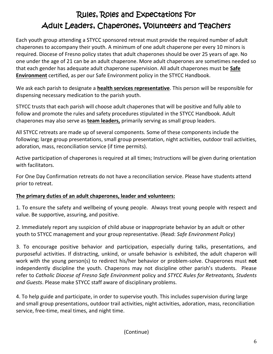# Rules, Roles and Expectations For Adult Leaders, Chaperones, Volunteers and Teachers

Each youth group attending a STYCC sponsored retreat must provide the required number of adult chaperones to accompany their youth. A minimum of one adult chaperone per every 10 minors is required. Diocese of Fresno policy states that adult chaperones should be over 25 years of age. No one under the age of 21 can be an adult chaperone. More adult chaperones are sometimes needed so that each gender has adequate adult chaperone supervision. All adult chaperones must be **Safe Environment** certified, as per our Safe Environment policy in the STYCC Handbook.

We ask each parish to designate a **health services representative**. This person will be responsible for dispensing necessary medication to the parish youth.

STYCC trusts that each parish will choose adult chaperones that will be positive and fully able to follow and promote the rules and safety procedures stipulated in the STYCC Handbook. Adult chaperones may also serve as **team leaders,** primarily serving as small group leaders.

All STYCC retreats are made up of several components. Some of these components include the following; large group presentations, small group presentation, night activities, outdoor trail activities, adoration, mass, reconciliation service (if time permits).

Active participation of chaperones is required at all times; Instructions will be given during orientation with facilitators.

For One Day Confirmation retreats do not have a reconciliation service. Please have students attend prior to retreat.

#### **The primary duties of an adult chaperones, leader and volunteers:**

1. To ensure the safety and wellbeing of young people. Always treat young people with respect and value. Be supportive, assuring, and positive.

2. Immediately report any suspicion of child abuse or inappropriate behavior by an adult or other youth to STYCC management and your group representative. (Read: *Safe Environment Policy*)

3. To encourage positive behavior and participation, especially during talks, presentations, and purposeful activities. If distracting, unkind, or unsafe behavior is exhibited, the adult chaperon will work with the young person(s) to redirect his/her behavior or problem-solve. Chaperones must **not**  independently discipline the youth. Chaperons may not discipline other parish's students. Please refer to *Catholic Diocese of Fresno Safe Environment* policy and *STYCC Rules for Retreatants, Students and Guests*. Please make STYCC staff aware of disciplinary problems.

4. To help guide and participate, in order to supervise youth. This includes supervision during large and small group presentations, outdoor trail activities, night activities, adoration, mass, reconciliation service, free-time, meal times, and night time.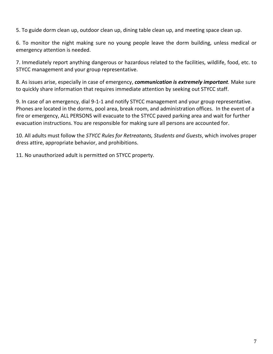5. To guide dorm clean up, outdoor clean up, dining table clean up, and meeting space clean up.

6. To monitor the night making sure no young people leave the dorm building, unless medical or emergency attention is needed.

7. Immediately report anything dangerous or hazardous related to the facilities, wildlife, food, etc. to STYCC management and your group representative.

8. As issues arise, especially in case of emergency, *communication is extremely important.* Make sure to quickly share information that requires immediate attention by seeking out STYCC staff.

9. In case of an emergency, dial 9-1-1 and notify STYCC management and your group representative. Phones are located in the dorms, pool area, break room, and administration offices. In the event of a fire or emergency, ALL PERSONS will evacuate to the STYCC paved parking area and wait for further evacuation instructions. You are responsible for making sure all persons are accounted for.

10. All adults must follow the *STYCC Rules for Retreatants, Students and Guests*, which involves proper dress attire, appropriate behavior, and prohibitions.

11. No unauthorized adult is permitted on STYCC property.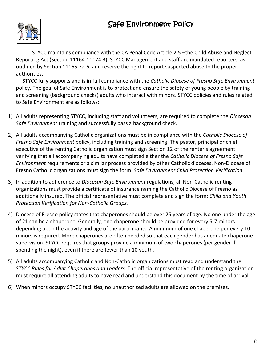# Safe Environment Policy



STYCC maintains compliance with the CA Penal Code Article 2.5 –the Child Abuse and Neglect Reporting Act (Section 11164-11174.3). STYCC Management and staff are mandated reporters, as outlined by Section 11165.7a-6, and reserve the right to report suspected abuse to the proper authorities.

 STYCC fully supports and is in full compliance with the *Catholic Diocese of Fresno Safe Environment*  policy. The goal of Safe Environment is to protect and ensure the safety of young people by training and screening (background checks) adults who interact with minors. STYCC policies and rules related to Safe Environment are as follows:

- 1) All adults representing STYCC, including staff and volunteers, are required to complete the *Diocesan Safe Environment* training and successfully pass a background check.
- 2) All adults accompanying Catholic organizations must be in compliance with the *Catholic Diocese of Fresno Safe Environment* policy, including training and screening. The pastor, principal or chief executive of the renting Catholic organization must sign Section 12 of the renter's agreement verifying that all accompanying adults have completed either the *Catholic Diocese of Fresno Safe Environment* requirements or a similar process provided by other Catholic dioceses. Non-Diocese of Fresno Catholic organizations must sign the form: *Safe Environment Child Protection Verification.*
- 3) In addition to adherence to *Diocesan Safe Environment* regulations, all Non-Catholic renting organizations must provide a certificate of insurance naming the Catholic Diocese of Fresno as additionally insured. The official representative must complete and sign the form: *Child and Youth Protection Verification for Non-Catholic Groups.*
- 4) Diocese of Fresno policy states that chaperones should be over 25 years of age. No one under the age of 21 can be a chaperone. Generally, one chaperone should be provided for every 5-7 minors depending upon the activity and age of the participants. A minimum of one chaperone per every 10 minors is required. More chaperones are often needed so that each gender has adequate chaperone supervision. STYCC requires that groups provide a minimum of two chaperones (per gender if spending the night), even if there are fewer than 10 youth.
- 5) All adults accompanying Catholic and Non-Catholic organizations must read and understand the *STYCC Rules for Adult Chaperones and Leaders*. The official representative of the renting organization must require all attending adults to have read and understand this document by the time of arrival.
- 6) When minors occupy STYCC facilities, no unauthorized adults are allowed on the premises.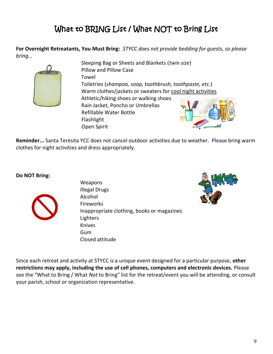# What to BRING List / What NOT to Bring List

**For Overnight Retreatants, You Must Bring:** *STYCC does not provide bedding for guests, so please bring…*



Sleeping Bag or Sheets and Blankets (*twin size*) Pillow and Pillow Case Towel Toiletries (*shampoo, soap, toothbrush, toothpaste, etc.*) Warm clothes/jackets or sweaters for cool night activities Athletic/hiking shoes or walking shoes Rain Jacket, Poncho or Umbrellas Refillable Water Bottle Flashlight Open Spirit

**Reminder...** Santa Teresita YCC does not cancel outdoor activities due to weather. Please bring warm clothes for night activities and dress appropriately.

#### **Do NOT Bring:**



Weapons Illegal Drugs Alcohol Fireworks Inappropriate clothing, books or magazines Lighters Knives Gum Closed attitude



Since each retreat and activity at STYCC is a unique event designed for a particular purpose, **other restrictions may apply, including the use of cell phones, computers and electronic devices.** Please see the "What to Bring / What *Not* to Bring" list for the retreat/event you will be attending, or consult your parish, school or organization representative.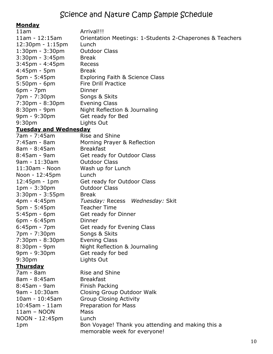#### **Monday**

| <u></u><br>11am                    | Arrival!!!                                               |  |  |
|------------------------------------|----------------------------------------------------------|--|--|
| $11am - 12:15am$                   | Orientation Meetings: 1-Students 2-Chaperones & Teachers |  |  |
| $12:30 \text{pm} - 1:15 \text{pm}$ | Lunch                                                    |  |  |
| $1:30$ pm - $3:30$ pm              | <b>Outdoor Class</b>                                     |  |  |
| $3:30$ pm - $3:45$ pm              | <b>Break</b>                                             |  |  |
| 3:45pm - 4:45pm                    | Recess                                                   |  |  |
| 4:45pm - 5pm                       | <b>Break</b>                                             |  |  |
| 5pm - 5:45pm                       | Exploring Faith & Science Class                          |  |  |
| $5:50$ pm - 6pm                    | <b>Fire Drill Practice</b>                               |  |  |
| $6pm - 7pm$                        | <b>Dinner</b>                                            |  |  |
| 7pm - 7:30pm                       | Songs & Skits                                            |  |  |
| $7:30 \text{pm} - 8:30 \text{pm}$  | <b>Evening Class</b>                                     |  |  |
| 8:30pm - 9pm                       | Night Reflection & Journaling                            |  |  |
| 9pm - 9:30pm                       | Get ready for Bed                                        |  |  |
| 9:30 <sub>pm</sub>                 | Lights Out                                               |  |  |
| <b>Tuesday and Wednesday</b>       |                                                          |  |  |
| 7am - 7:45am                       | Rise and Shine                                           |  |  |
| $7:45am - 8am$                     | Morning Prayer & Reflection                              |  |  |
| 8am - 8:45am                       | <b>Breakfast</b>                                         |  |  |
| 8:45am - 9am                       | Get ready for Outdoor Class                              |  |  |
| 9am - 11:30am                      | <b>Outdoor Class</b>                                     |  |  |
| 11:30am - Noon                     | Wash up for Lunch                                        |  |  |
| Noon - 12:45pm                     | Lunch                                                    |  |  |
| $12:45$ pm - 1pm                   | Get ready for Outdoor Class                              |  |  |
| 1pm - 3:30pm                       | <b>Outdoor Class</b>                                     |  |  |
| $3:30$ pm - $3:55$ pm              | <b>Break</b>                                             |  |  |
| 4pm - 4:45pm                       | Tuesday: Recess Wednesday: Skit                          |  |  |
| $5pm - 5:45pm$                     | <b>Teacher Time</b>                                      |  |  |
| $5:45$ pm - 6pm                    | Get ready for Dinner                                     |  |  |
| $6pm - 6:45pm$                     | Dinner                                                   |  |  |
| $6:45$ pm - 7pm                    | Get ready for Evening Class                              |  |  |
| 7pm - 7:30pm                       | Songs & Skits                                            |  |  |
| $7:30 \text{pm} - 8:30 \text{pm}$  | <b>Evening Class</b>                                     |  |  |
| 8:30pm - 9pm                       | Night Reflection & Journaling                            |  |  |
| 9pm - 9:30pm                       | Get ready for bed                                        |  |  |
| 9:30 <sub>pm</sub>                 | Lights Out                                               |  |  |
| <b>Thursday</b>                    |                                                          |  |  |
| 7am - 8am                          | Rise and Shine                                           |  |  |
| 8am - 8:45am                       | <b>Breakfast</b>                                         |  |  |
| $8:45$ am - 9am                    | Finish Packing                                           |  |  |
| 9am - 10:30am                      | Closing Group Outdoor Walk                               |  |  |
| $10am - 10:45am$                   | <b>Group Closing Activity</b>                            |  |  |
| $10:45$ am - 11am                  | Preparation for Mass                                     |  |  |
| $11am - NOON$                      | <b>Mass</b>                                              |  |  |
| NOON - 12:45pm                     | Lunch                                                    |  |  |
| 1pm                                | Bon Voyage! Thank you attending and making this a        |  |  |
|                                    | memorable week for everyone!                             |  |  |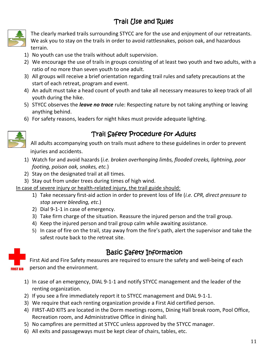# Trail Use and Rules



The clearly marked trails surrounding STYCC are for the use and enjoyment of our retreatants. We ask you to stay on the trails in order to avoid rattlesnakes, poison oak, and hazardous terrain.

- 1) No youth can use the trails without adult supervision.
- 2) We encourage the use of trails in groups consisting of at least two youth and two adults, with a ratio of no more than seven youth to one adult.
- 3) All groups will receive a brief orientation regarding trail rules and safety precautions at the start of each retreat, program and event.
- 4) An adult must take a head count of youth and take all necessary measures to keep track of all youth during the hike.
- 5) STYCC observes the *leave no trace* rule: Respecting nature by not taking anything or leaving anything behind.
- 6) For safety reasons, leaders for night hikes must provide adequate lighting.



# Trail Safety Procedure for Adults

All adults accompanying youth on trails must adhere to these guidelines in order to prevent injuries and accidents.

- 1) Watch for and avoid hazards (*i.e. broken overhanging limbs, flooded creeks, lightning, poor footing, poison oak, snakes, etc.*)
- 2) Stay on the designated trail at all times.
- 3) Stay out from under trees during times of high wind.

In case of severe injury or health-related injury, the trail guide should:

- 1) Take necessary first-aid action in order to prevent loss of life (*i.e. CPR, direct pressure to stop severe bleeding, etc*.)
- 2) Dial 9-1-1 in case of emergency.
- 3) Take firm charge of the situation. Reassure the injured person and the trail group.
- 4) Keep the injured person and trail group calm while awaiting assistance.
- 5) In case of fire on the trail, stay away from the fire's path, alert the supervisor and take the safest route back to the retreat site.



# Basic Safety Information

First Aid and Fire Safety measures are required to ensure the safety and well-being of each person and the environment.

- 1) In case of an emergency, DIAL 9-1-1 and notify STYCC management and the leader of the renting organization.
- 2) If you see a fire immediately report it to STYCC management and DIAL 9-1-1.
- 3) We require that each renting organization provide a First Aid certified person.
- 4) FIRST-AID KITS are located in the Dorm meetings rooms, Dining Hall break room, Pool Office, Recreation room, and Administrative Office in dining hall.
- 5) No campfires are permitted at STYCC unless approved by the STYCC manager.
- 6) All exits and passageways must be kept clear of chairs, tables, etc.